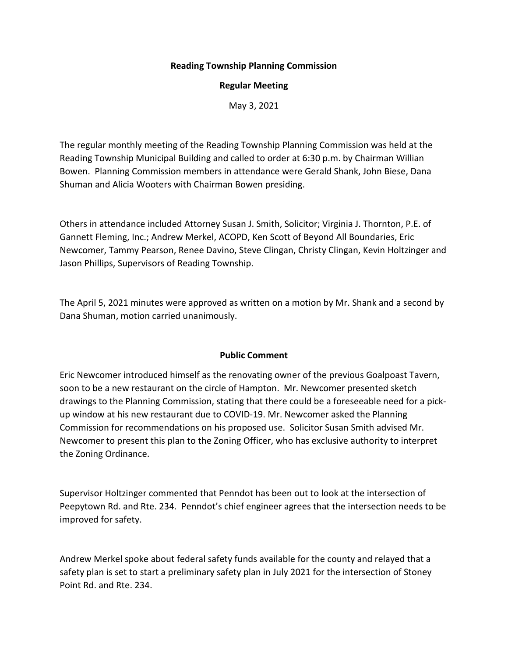### **Reading Township Planning Commission**

### **Regular Meeting**

May 3, 2021

The regular monthly meeting of the Reading Township Planning Commission was held at the Reading Township Municipal Building and called to order at 6:30 p.m. by Chairman Willian Bowen. Planning Commission members in attendance were Gerald Shank, John Biese, Dana Shuman and Alicia Wooters with Chairman Bowen presiding.

Others in attendance included Attorney Susan J. Smith, Solicitor; Virginia J. Thornton, P.E. of Gannett Fleming, Inc.; Andrew Merkel, ACOPD, Ken Scott of Beyond All Boundaries, Eric Newcomer, Tammy Pearson, Renee Davino, Steve Clingan, Christy Clingan, Kevin Holtzinger and Jason Phillips, Supervisors of Reading Township.

The April 5, 2021 minutes were approved as written on a motion by Mr. Shank and a second by Dana Shuman, motion carried unanimously.

### **Public Comment**

Eric Newcomer introduced himself as the renovating owner of the previous Goalpoast Tavern, soon to be a new restaurant on the circle of Hampton. Mr. Newcomer presented sketch drawings to the Planning Commission, stating that there could be a foreseeable need for a pickup window at his new restaurant due to COVID-19. Mr. Newcomer asked the Planning Commission for recommendations on his proposed use. Solicitor Susan Smith advised Mr. Newcomer to present this plan to the Zoning Officer, who has exclusive authority to interpret the Zoning Ordinance.

Supervisor Holtzinger commented that Penndot has been out to look at the intersection of Peepytown Rd. and Rte. 234. Penndot's chief engineer agrees that the intersection needs to be improved for safety.

Andrew Merkel spoke about federal safety funds available for the county and relayed that a safety plan is set to start a preliminary safety plan in July 2021 for the intersection of Stoney Point Rd. and Rte. 234.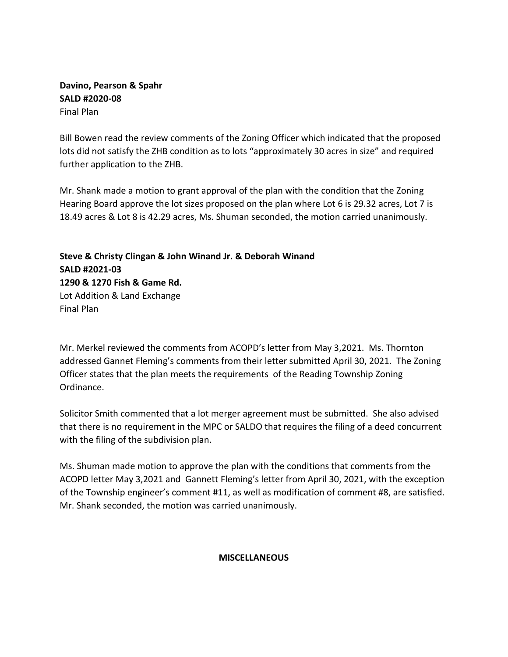## **Davino, Pearson & Spahr SALD #2020-08** Final Plan

Bill Bowen read the review comments of the Zoning Officer which indicated that the proposed lots did not satisfy the ZHB condition as to lots "approximately 30 acres in size" and required further application to the ZHB.

Mr. Shank made a motion to grant approval of the plan with the condition that the Zoning Hearing Board approve the lot sizes proposed on the plan where Lot 6 is 29.32 acres, Lot 7 is 18.49 acres & Lot 8 is 42.29 acres, Ms. Shuman seconded, the motion carried unanimously.

**Steve & Christy Clingan & John Winand Jr. & Deborah Winand SALD #2021-03 1290 & 1270 Fish & Game Rd.** Lot Addition & Land Exchange Final Plan

Mr. Merkel reviewed the comments from ACOPD's letter from May 3,2021. Ms. Thornton addressed Gannet Fleming's comments from their letter submitted April 30, 2021. The Zoning Officer states that the plan meets the requirements of the Reading Township Zoning Ordinance.

Solicitor Smith commented that a lot merger agreement must be submitted. She also advised that there is no requirement in the MPC or SALDO that requires the filing of a deed concurrent with the filing of the subdivision plan.

Ms. Shuman made motion to approve the plan with the conditions that comments from the ACOPD letter May 3,2021 and Gannett Fleming's letter from April 30, 2021, with the exception of the Township engineer's comment #11, as well as modification of comment #8, are satisfied. Mr. Shank seconded, the motion was carried unanimously.

# **MISCELLANEOUS**